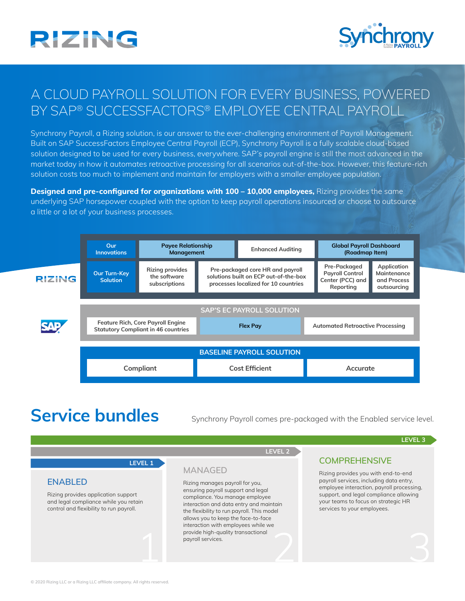



## A CLOUD PAYROLL SOLUTION FOR EVERY BUSINESS, POWERED BY SAP® SUCCESSFACTORS® EMPLOYEE CENTRAL PAYROLL

Synchrony Payroll, a Rizing solution, is our answer to the ever-challenging environment of Payroll Management. Built on SAP SuccessFactors Employee Central Payroll (ECP), Synchrony Payroll is a fully scalable cloud-based solution designed to be used for every business, everywhere. SAP's payroll engine is still the most advanced in the market today in how it automates retroactive processing for all scenarios out-of-the-box. However, this feature-rich solution costs too much to implement and maintain for employers with a smaller employee population.

**Designed and pre-configured for organizations with 100 – 10,000 employees,** Rizing provides the same underlying SAP horsepower coupled with the option to keep payroll operations insourced or choose to outsource a little or a lot of your business processes.



Service bundles Synchrony Payroll comes pre-packaged with the Enabled service level.

**LEVEL 2**

**LEVEL 3**

### **LEVEL 1**

#### **ENABLED**

Rizing provides application support and legal compliance while you retain control and flexibility to run payroll.

**MANAGED**

provide high-quality transactional<br>payroll services.<br>
and the contract of the contract of the contract of the contract of the contract of the contract of the contract of the contract of the contract of the contract of the Rizing manages payroll for you, ensuring payroll support and legal compliance. You manage employee interaction and data entry and maintain the flexibility to run payroll. This model allows you to keep the face-to-face interaction with employees while we provide high-quality transactional payroll services.

### **COMPREHENSIVE**

Rizing provides you with end-to-end payroll services, including data entry, employee interaction, payroll processing, support, and legal compliance allowing your teams to focus on strategic HR services to your employees.